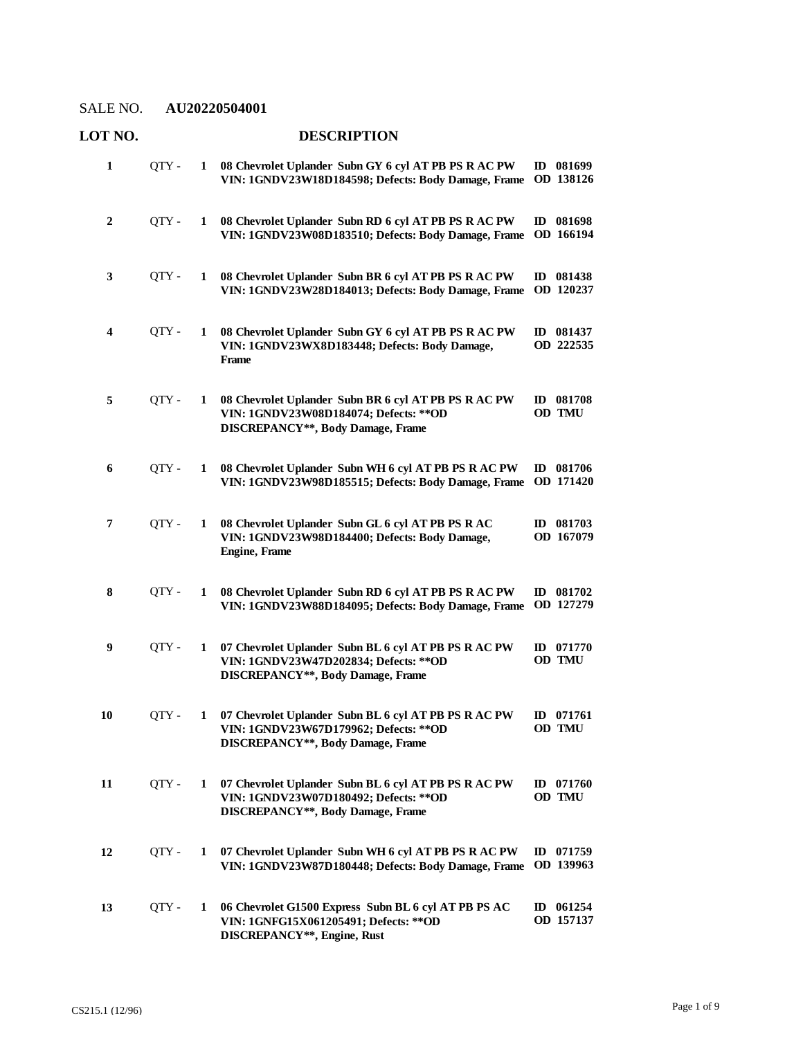| LOT NO.          |       |   | <b>DESCRIPTION</b>                                                                                                                         |                          |
|------------------|-------|---|--------------------------------------------------------------------------------------------------------------------------------------------|--------------------------|
| 1                | QTY-  | 1 | 08 Chevrolet Uplander Subn GY 6 cyl AT PB PS R AC PW<br>VIN: 1GNDV23W18D184598; Defects: Body Damage, Frame                                | ID 081699<br>OD 138126   |
| $\boldsymbol{2}$ | QTY-  | 1 | 08 Chevrolet Uplander Subn RD 6 cyl AT PB PS R AC PW<br>VIN: 1GNDV23W08D183510; Defects: Body Damage, Frame                                | ID 081698<br>OD 166194   |
| 3                | OTY - | 1 | 08 Chevrolet Uplander Subn BR 6 cyl AT PB PS R AC PW<br>VIN: 1GNDV23W28D184013; Defects: Body Damage, Frame                                | ID 081438<br>OD 120237   |
| 4                | QTY - | 1 | 08 Chevrolet Uplander Subn GY 6 cyl AT PB PS R AC PW<br>VIN: 1GNDV23WX8D183448; Defects: Body Damage,<br>Frame                             | ID 081437<br>OD 222535   |
| 5                | QTY-  | 1 | 08 Chevrolet Uplander Subn BR 6 cyl AT PB PS R AC PW<br>VIN: 1GNDV23W08D184074; Defects: ** OD<br><b>DISCREPANCY**, Body Damage, Frame</b> | ID 081708<br>OD TMU      |
| 6                | QTY-  | 1 | 08 Chevrolet Uplander Subn WH 6 cyl AT PB PS R AC PW<br>VIN: 1GNDV23W98D185515; Defects: Body Damage, Frame                                | ID 081706<br>OD 171420   |
| 7                | QTY-  | 1 | 08 Chevrolet Uplander Subn GL 6 cyl AT PB PS R AC<br>VIN: 1GNDV23W98D184400; Defects: Body Damage,<br><b>Engine</b> , Frame                | ID 081703<br>OD 167079   |
| 8                | QTY-  | 1 | 08 Chevrolet Uplander Subn RD 6 cyl AT PB PS R AC PW<br>VIN: 1GNDV23W88D184095; Defects: Body Damage, Frame                                | ID 081702<br>OD 127279   |
| 9                | OTY - | 1 | 07 Chevrolet Uplander Subn BL 6 cyl AT PB PS R AC PW<br>VIN: 1GNDV23W47D202834; Defects: ** OD<br><b>DISCREPANCY**, Body Damage, Frame</b> | ID 071770<br>OD TMU      |
| 10               | QTY-  | 1 | 07 Chevrolet Uplander Subn BL 6 cyl AT PB PS R AC PW<br>VIN: 1GNDV23W67D179962; Defects: ** OD<br><b>DISCREPANCY**, Body Damage, Frame</b> | ID 071761<br>OD TMU      |
| 11               | QTY - | 1 | 07 Chevrolet Uplander Subn BL 6 cyl AT PB PS R AC PW<br>VIN: 1GNDV23W07D180492; Defects: ** OD<br>DISCREPANCY**, Body Damage, Frame        | ID 071760<br>OD TMU      |
| 12               | QTY - | 1 | 07 Chevrolet Uplander Subn WH 6 cyl AT PB PS R AC PW<br>VIN: 1GNDV23W87D180448; Defects: Body Damage, Frame                                | ID $071759$<br>OD 139963 |
| 13               | QTY - | 1 | 06 Chevrolet G1500 Express Subn BL 6 cyl AT PB PS AC<br>VIN: 1GNFG15X061205491; Defects: ** OD<br>DISCREPANCY**, Engine, Rust              | ID 061254<br>OD 157137   |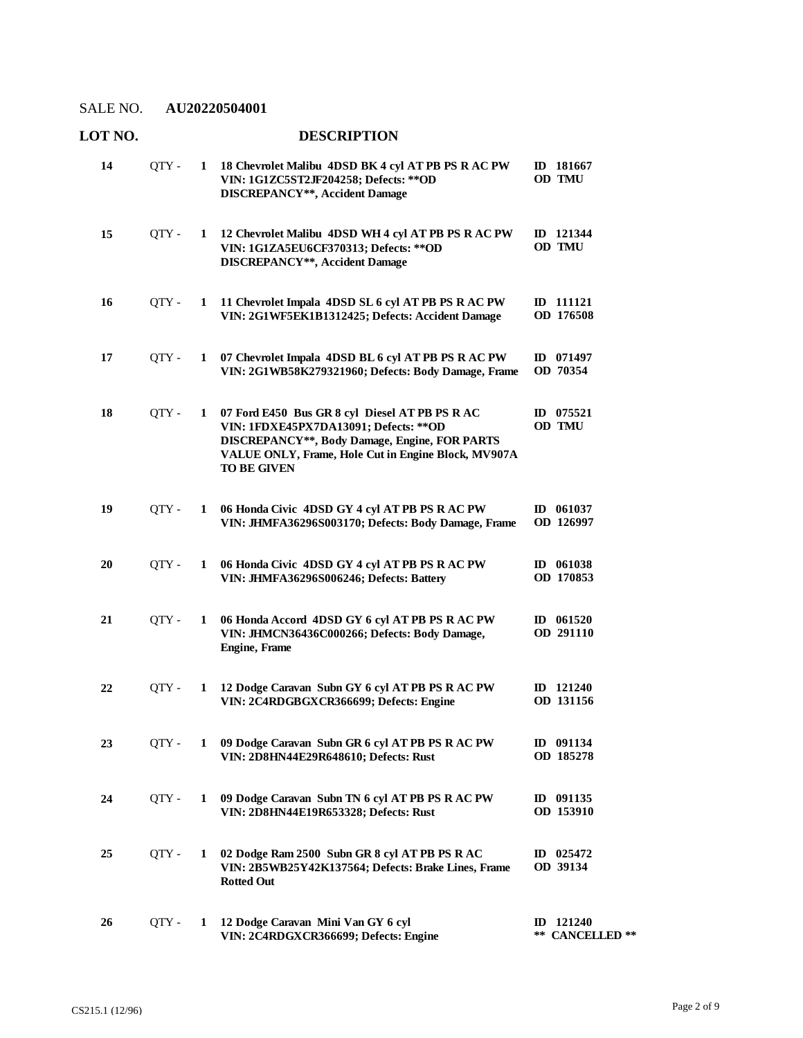# **LOT NO. DESCRIPTION**

| 14 | OTY - | 1 | 18 Chevrolet Malibu 4DSD BK 4 cyl AT PB PS R AC PW<br>VIN: 1G1ZC5ST2JF204258; Defects: ** OD<br><b>DISCREPANCY**, Accident Damage</b>                                                                                  | ID 181667<br>OD TMU                    |
|----|-------|---|------------------------------------------------------------------------------------------------------------------------------------------------------------------------------------------------------------------------|----------------------------------------|
| 15 | QTY - | 1 | 12 Chevrolet Malibu 4DSD WH 4 cyl AT PB PS R AC PW<br>VIN: 1G1ZA5EU6CF370313; Defects: ** OD<br><b>DISCREPANCY**, Accident Damage</b>                                                                                  | ID 121344<br>OD TMU                    |
| 16 | QTY - | 1 | 11 Chevrolet Impala 4DSD SL 6 cyl AT PB PS R AC PW<br>VIN: 2G1WF5EK1B1312425; Defects: Accident Damage                                                                                                                 | ID 111121<br>OD 176508                 |
| 17 | OTY - | 1 | 07 Chevrolet Impala 4DSD BL 6 cyl AT PB PS R AC PW<br>VIN: 2G1WB58K279321960; Defects: Body Damage, Frame                                                                                                              | ID 071497<br>OD 70354                  |
| 18 | QTY - | 1 | 07 Ford E450 Bus GR 8 cyl Diesel AT PB PS R AC<br>VIN: 1FDXE45PX7DA13091; Defects: ** OD<br>DISCREPANCY**, Body Damage, Engine, FOR PARTS<br>VALUE ONLY, Frame, Hole Cut in Engine Block, MV907A<br><b>TO BE GIVEN</b> | ID 075521<br>OD TMU                    |
| 19 | QTY - | 1 | 06 Honda Civic 4DSD GY 4 cyl AT PB PS R AC PW<br>VIN: JHMFA36296S003170; Defects: Body Damage, Frame                                                                                                                   | ID 061037<br>OD 126997                 |
| 20 | QTY-  | 1 | 06 Honda Civic 4DSD GY 4 cyl AT PB PS R AC PW<br>VIN: JHMFA36296S006246; Defects: Battery                                                                                                                              | ID 061038<br>OD 170853                 |
| 21 | QTY - | 1 | 06 Honda Accord 4DSD GY 6 cyl AT PB PS R AC PW<br>VIN: JHMCN36436C000266; Defects: Body Damage,<br><b>Engine</b> , Frame                                                                                               | ID $061520$<br>OD 291110               |
| 22 | OTY - | 1 | 12 Dodge Caravan Subn GY 6 cyl AT PB PS R AC PW<br>VIN: 2C4RDGBGXCR366699; Defects: Engine                                                                                                                             | ID 121240<br>OD 131156                 |
| 23 | QTY-  |   | 1 09 Dodge Caravan Subn GR 6 cyl AT PB PS R AC PW<br>VIN: 2D8HN44E29R648610; Defects: Rust                                                                                                                             | ID 091134<br>OD 185278                 |
| 24 | OTY - | 1 | 09 Dodge Caravan Subn TN 6 cyl AT PB PS R AC PW<br>VIN: 2D8HN44E19R653328; Defects: Rust                                                                                                                               | ID 091135<br>OD 153910                 |
| 25 | QTY - | 1 | 02 Dodge Ram 2500 Subn GR 8 cyl AT PB PS R AC<br>VIN: 2B5WB25Y42K137564; Defects: Brake Lines, Frame<br><b>Rotted Out</b>                                                                                              | ID 025472<br>OD 39134                  |
| 26 | QTY - | 1 | 12 Dodge Caravan Mini Van GY 6 cyl<br>VIN: 2C4RDGXCR366699; Defects: Engine                                                                                                                                            | ID 121240<br>**<br><b>CANCELLED</b> ** |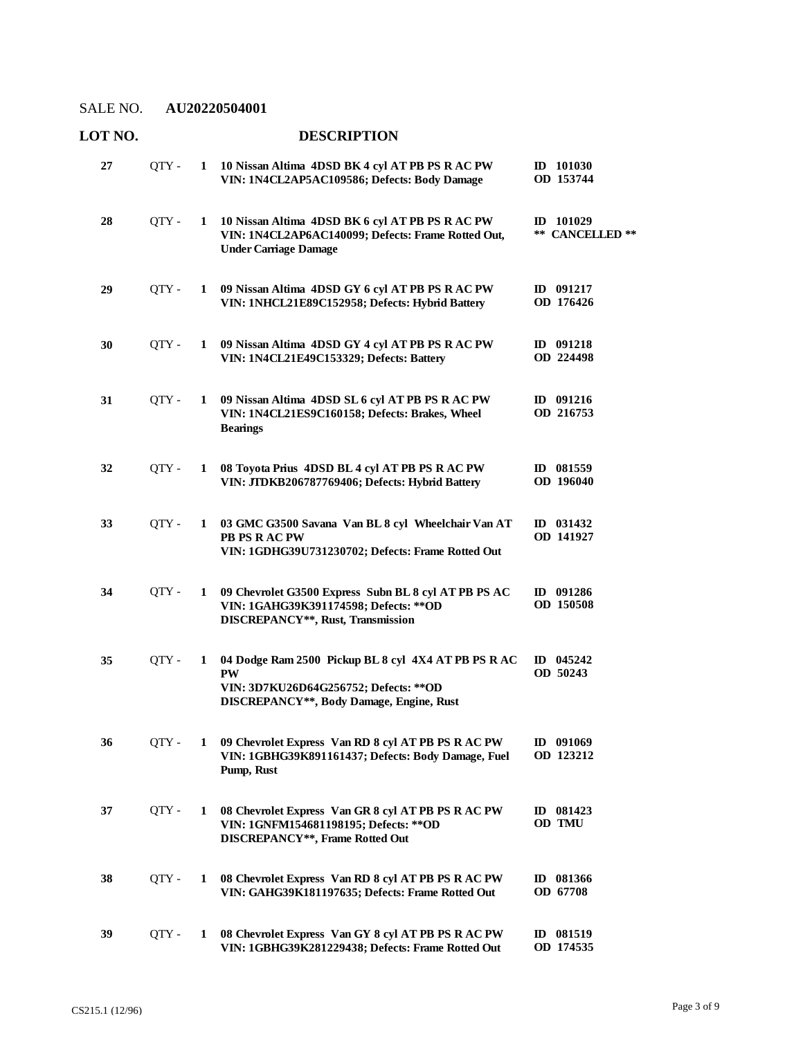| LOT NO. |       |   | <b>DESCRIPTION</b>                                                                                                                                     |                                |
|---------|-------|---|--------------------------------------------------------------------------------------------------------------------------------------------------------|--------------------------------|
| 27      | QTY - | 1 | 10 Nissan Altima 4DSD BK 4 cyl AT PB PS R AC PW<br>VIN: 1N4CL2AP5AC109586; Defects: Body Damage                                                        | ID 101030<br>OD 153744         |
| 28      | QTY - | 1 | 10 Nissan Altima 4DSD BK 6 cyl AT PB PS R AC PW<br>VIN: 1N4CL2AP6AC140099; Defects: Frame Rotted Out,<br><b>Under Carriage Damage</b>                  | $ID$ 101029<br>** CANCELLED ** |
| 29      | QTY - | 1 | 09 Nissan Altima 4DSD GY 6 cyl AT PB PS R AC PW<br>VIN: 1NHCL21E89C152958; Defects: Hybrid Battery                                                     | ID 091217<br>OD 176426         |
| 30      | QTY - |   | 1 09 Nissan Altima 4DSD GY 4 cyl AT PB PS R AC PW<br>VIN: 1N4CL21E49C153329; Defects: Battery                                                          | ID 091218<br>OD 224498         |
| 31      | QTY - | 1 | 09 Nissan Altima 4DSD SL 6 cyl AT PB PS R AC PW<br>VIN: 1N4CL21ES9C160158; Defects: Brakes, Wheel<br><b>Bearings</b>                                   | ID 091216<br>OD 216753         |
| 32      | OTY - | 1 | 08 Toyota Prius 4DSD BL 4 cyl AT PB PS R AC PW<br>VIN: JTDKB206787769406; Defects: Hybrid Battery                                                      | ID 081559<br>OD 196040         |
| 33      | OTY - | 1 | 03 GMC G3500 Savana Van BL 8 cyl Wheelchair Van AT<br>PB PS R AC PW<br>VIN: 1GDHG39U731230702; Defects: Frame Rotted Out                               | ID 031432<br>OD 141927         |
| 34      | QTY - | 1 | 09 Chevrolet G3500 Express Subn BL 8 cyl AT PB PS AC<br>VIN: 1GAHG39K391174598; Defects: ** OD<br>DISCREPANCY**, Rust, Transmission                    | ID 091286<br>OD 150508         |
| 35      | QTY - | 1 | 04 Dodge Ram 2500 Pickup BL 8 cyl 4X4 AT PB PS R AC<br><b>PW</b><br>VIN: 3D7KU26D64G256752; Defects: ** OD<br>DISCREPANCY**, Body Damage, Engine, Rust | ID $045242$<br>OD 50243        |
| 36      | OTY - | 1 | 09 Chevrolet Express Van RD 8 cyl AT PB PS R AC PW<br>VIN: 1GBHG39K891161437; Defects: Body Damage, Fuel<br>Pump, Rust                                 | ID 091069<br>OD 123212         |
| 37      | QTY - | 1 | 08 Chevrolet Express Van GR 8 cyl AT PB PS R AC PW<br>VIN: 1GNFM154681198195; Defects: ** OD<br><b>DISCREPANCY**, Frame Rotted Out</b>                 | ID 081423<br>OD TMU            |
| 38      | QTY - | 1 | 08 Chevrolet Express Van RD 8 cyl AT PB PS R AC PW<br>VIN: GAHG39K181197635; Defects: Frame Rotted Out                                                 | ID 081366<br>OD 67708          |
| 39      | QTY - | 1 | 08 Chevrolet Express Van GY 8 cyl AT PB PS R AC PW<br>VIN: 1GBHG39K281229438; Defects: Frame Rotted Out                                                | ID 081519<br>OD 174535         |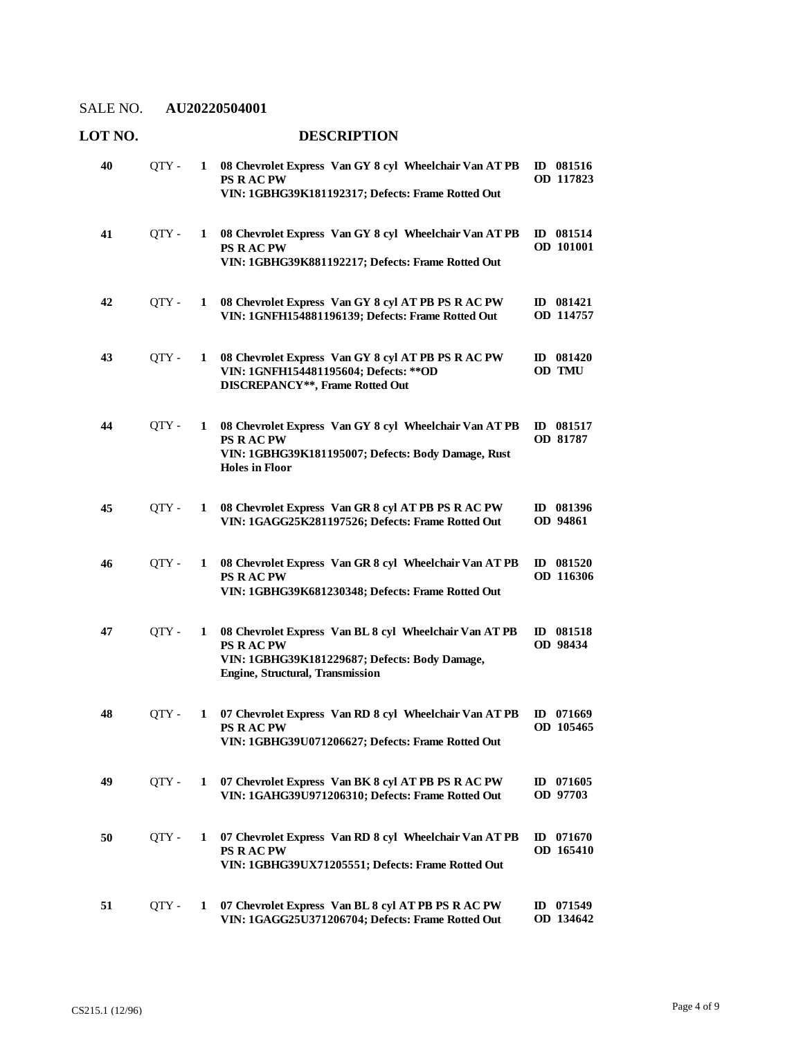| LOT NO. |       |              | <b>DESCRIPTION</b>                                                                                                                                             |                               |
|---------|-------|--------------|----------------------------------------------------------------------------------------------------------------------------------------------------------------|-------------------------------|
| 40      | QTY - | 1            | 08 Chevrolet Express Van GY 8 cyl Wheelchair Van AT PB<br><b>PS RACPW</b><br>VIN: 1GBHG39K181192317; Defects: Frame Rotted Out                                 | ID 081516<br>OD 117823        |
| 41      | QTY - | 1            | 08 Chevrolet Express Van GY 8 cyl Wheelchair Van AT PB<br><b>PS RACPW</b><br>VIN: 1GBHG39K881192217; Defects: Frame Rotted Out                                 | ID 081514<br>OD 101001        |
| 42      | QTY - | 1            | 08 Chevrolet Express Van GY 8 cyl AT PB PS R AC PW<br>VIN: 1GNFH154881196139; Defects: Frame Rotted Out                                                        | <b>ID</b> 081421<br>OD 114757 |
| 43      | QTY-  | 1            | 08 Chevrolet Express Van GY 8 cyl AT PB PS R AC PW<br>VIN: 1GNFH154481195604; Defects: ** OD<br>DISCREPANCY**, Frame Rotted Out                                | ID 081420<br>OD TMU           |
| 44      | QTY-  | 1            | 08 Chevrolet Express Van GY 8 cyl Wheelchair Van AT PB<br><b>PS RACPW</b><br>VIN: 1GBHG39K181195007; Defects: Body Damage, Rust<br><b>Holes in Floor</b>       | $ID$ 081517<br>OD 81787       |
| 45      | QTY - | 1            | 08 Chevrolet Express Van GR 8 cyl AT PB PS R AC PW<br>VIN: 1GAGG25K281197526; Defects: Frame Rotted Out                                                        | ID 081396<br>OD 94861         |
| 46      | OTY - | 1            | 08 Chevrolet Express Van GR 8 cyl Wheelchair Van AT PB<br><b>PS RACPW</b><br>VIN: 1GBHG39K681230348; Defects: Frame Rotted Out                                 | ID 081520<br>OD 116306        |
| 47      | QTY-  | 1            | 08 Chevrolet Express Van BL 8 cyl Wheelchair Van AT PB<br><b>PS RACPW</b><br>VIN: 1GBHG39K181229687; Defects: Body Damage,<br>Engine, Structural, Transmission | ID 081518<br>OD 98434         |
| 48      | QTY-  |              | 1 07 Chevrolet Express Van RD 8 cyl Wheelchair Van AT PB ID 071669<br><b>PS RACPW</b><br>VIN: 1GBHG39U071206627; Defects: Frame Rotted Out                     | OD 105465                     |
| 49      | QTY-  | 1            | 07 Chevrolet Express Van BK 8 cyl AT PB PS R AC PW<br>VIN: 1GAHG39U971206310; Defects: Frame Rotted Out                                                        | ID 071605<br>OD 97703         |
| 50      | QTY - | $\mathbf{1}$ | 07 Chevrolet Express Van RD 8 cyl Wheelchair Van AT PB<br><b>PS RACPW</b><br>VIN: 1GBHG39UX71205551; Defects: Frame Rotted Out                                 | ID $071670$<br>OD 165410      |
| 51      | QTY - | 1            | 07 Chevrolet Express Van BL 8 cyl AT PB PS R AC PW<br>VIN: 1GAGG25U371206704; Defects: Frame Rotted Out                                                        | ID 071549<br>OD 134642        |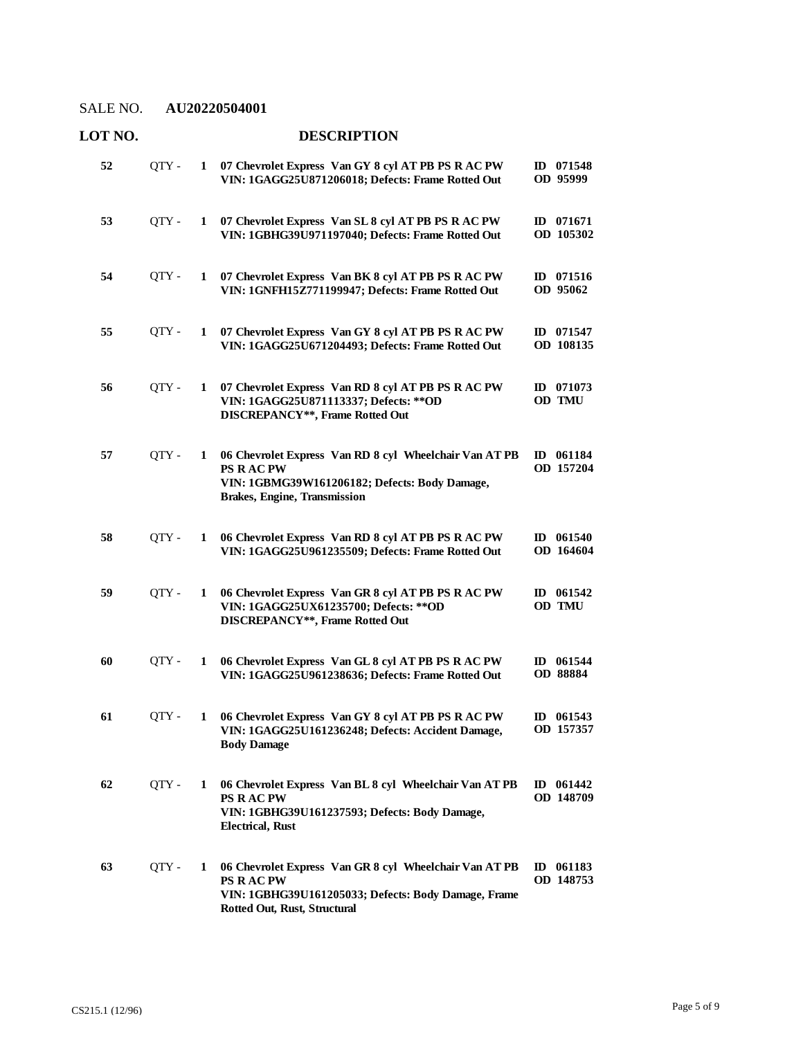| LOT NO. |       |              | <b>DESCRIPTION</b>                                                                                                                                                |                        |
|---------|-------|--------------|-------------------------------------------------------------------------------------------------------------------------------------------------------------------|------------------------|
| 52      | QTY - | $\mathbf{1}$ | 07 Chevrolet Express Van GY 8 cyl AT PB PS R AC PW<br>VIN: 1GAGG25U871206018; Defects: Frame Rotted Out                                                           | ID 071548<br>OD 95999  |
| 53      | QTY - |              | 1 07 Chevrolet Express Van SL 8 cyl AT PB PS R AC PW<br>VIN: 1GBHG39U971197040; Defects: Frame Rotted Out                                                         | ID 071671<br>OD 105302 |
| 54      | QTY - | 1            | 07 Chevrolet Express Van BK 8 cyl AT PB PS R AC PW<br>VIN: 1GNFH15Z771199947; Defects: Frame Rotted Out                                                           | ID 071516<br>OD 95062  |
| 55      | QTY - |              | 1 07 Chevrolet Express Van GY 8 cyl AT PB PS R AC PW<br>VIN: 1GAGG25U671204493; Defects: Frame Rotted Out                                                         | ID 071547<br>OD 108135 |
| 56      | QTY - | 1            | 07 Chevrolet Express Van RD 8 cyl AT PB PS R AC PW<br>VIN: 1GAGG25U871113337; Defects: ** OD<br>DISCREPANCY**, Frame Rotted Out                                   | ID 071073<br>OD TMU    |
| 57      | QTY - | 1            | 06 Chevrolet Express Van RD 8 cyl Wheelchair Van AT PB<br><b>PS RACPW</b><br>VIN: 1GBMG39W161206182; Defects: Body Damage,<br><b>Brakes, Engine, Transmission</b> | ID 061184<br>OD 157204 |
| 58      | QTY - | 1            | 06 Chevrolet Express Van RD 8 cyl AT PB PS R AC PW<br>VIN: 1GAGG25U961235509; Defects: Frame Rotted Out                                                           | ID 061540<br>OD 164604 |
| 59      | QTY-  | 1            | 06 Chevrolet Express Van GR 8 cyl AT PB PS R AC PW<br>VIN: 1GAGG25UX61235700; Defects: ** OD<br><b>DISCREPANCY**, Frame Rotted Out</b>                            | ID 061542<br>OD TMU    |
| 60      | QTY - | 1            | 06 Chevrolet Express Van GL 8 cyl AT PB PS R AC PW<br>VIN: 1GAGG25U961238636; Defects: Frame Rotted Out                                                           | ID 061544<br>OD 88884  |
| 61      | OTY-  | 1            | 06 Chevrolet Express Van GY 8 cyl AT PB PS R AC PW<br>VIN: 1GAGG25U161236248; Defects: Accident Damage,<br><b>Body Damage</b>                                     | ID 061543<br>OD 157357 |
| 62      | OTY-  | 1            | 06 Chevrolet Express Van BL 8 cyl Wheelchair Van AT PB<br>PS R AC PW<br>VIN: 1GBHG39U161237593; Defects: Body Damage,<br><b>Electrical, Rust</b>                  | ID 061442<br>OD 148709 |
| 63      | QTY-  | 1            | 06 Chevrolet Express Van GR 8 cyl Wheelchair Van AT PB<br><b>PS RACPW</b><br>VIN: 1GBHG39U161205033; Defects: Body Damage, Frame<br>Rotted Out, Rust, Structural  | ID 061183<br>OD 148753 |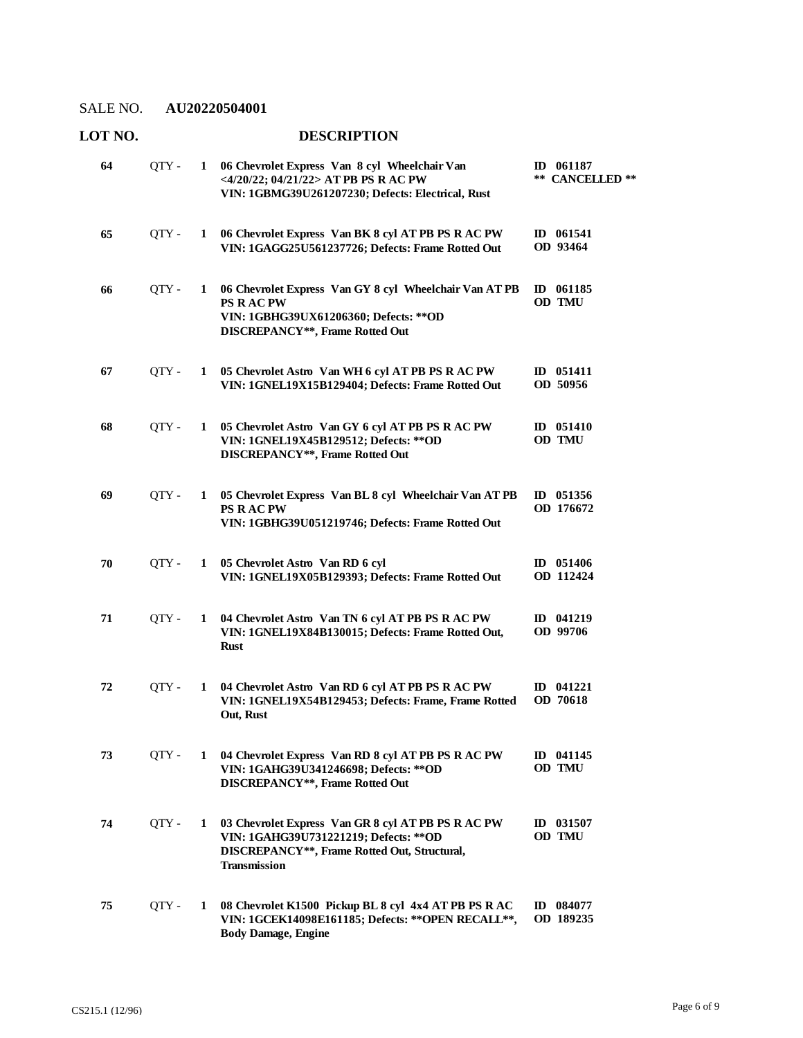### **LOT NO. DESCRIPTION**

| 64 | QTY - |              | 1 06 Chevrolet Express Van 8 cyl Wheelchair Van<br><4/20/22; 04/21/22> AT PB PS R AC PW<br>VIN: 1GBMG39U261207230; Defects: Electrical, Rust                 | $ID$ 061187<br>**<br><b>CANCELLED</b> ** |
|----|-------|--------------|--------------------------------------------------------------------------------------------------------------------------------------------------------------|------------------------------------------|
| 65 | OTY - | $\mathbf{1}$ | 06 Chevrolet Express Van BK 8 cyl AT PB PS R AC PW<br>VIN: 1GAGG25U561237726; Defects: Frame Rotted Out                                                      | ID 061541<br>OD 93464                    |
| 66 | QTY - | 1            | 06 Chevrolet Express Van GY 8 cyl Wheelchair Van AT PB<br><b>PS RACPW</b><br>VIN: 1GBHG39UX61206360; Defects: ** OD<br>DISCREPANCY**, Frame Rotted Out       | ID 061185<br>OD TMU                      |
| 67 | QTY - | $\mathbf{1}$ | 05 Chevrolet Astro Van WH 6 cyl AT PB PS R AC PW<br>VIN: 1GNEL19X15B129404; Defects: Frame Rotted Out                                                        | ID 051411<br>OD 50956                    |
| 68 | QTY - | 1            | 05 Chevrolet Astro Van GY 6 cyl AT PB PS R AC PW<br>VIN: 1GNEL19X45B129512; Defects: ** OD<br><b>DISCREPANCY**, Frame Rotted Out</b>                         | $ID$ 051410<br>OD TMU                    |
| 69 | QTY - | $\mathbf{1}$ | 05 Chevrolet Express Van BL 8 cyl Wheelchair Van AT PB<br><b>PS RACPW</b><br>VIN: 1GBHG39U051219746; Defects: Frame Rotted Out                               | ID 051356<br>OD 176672                   |
| 70 | QTY - | $\mathbf{1}$ | 05 Chevrolet Astro Van RD 6 cyl<br>VIN: 1GNEL19X05B129393; Defects: Frame Rotted Out                                                                         | ID 051406<br>OD 112424                   |
| 71 | QTY - | $\mathbf{1}$ | 04 Chevrolet Astro Van TN 6 cyl AT PB PS R AC PW<br>VIN: 1GNEL19X84B130015; Defects: Frame Rotted Out,<br><b>Rust</b>                                        | ID 041219<br>OD 99706                    |
| 72 | QTY - | $\mathbf{1}$ | 04 Chevrolet Astro Van RD 6 cyl AT PB PS R AC PW<br>VIN: 1GNEL19X54B129453; Defects: Frame, Frame Rotted<br>Out, Rust                                        | ID 041221<br>OD 70618                    |
| 73 | QTY - |              | 1 04 Chevrolet Express Van RD 8 cyl AT PB PS R AC PW<br>VIN: 1GAHG39U341246698; Defects: ** OD<br><b>DISCREPANCY**, Frame Rotted Out</b>                     | ID 041145<br>OD TMU                      |
| 74 | QTY - | $\mathbf{1}$ | 03 Chevrolet Express Van GR 8 cyl AT PB PS R AC PW<br>VIN: 1GAHG39U731221219; Defects: ** OD<br>DISCREPANCY**, Frame Rotted Out, Structural,<br>Transmission | ID 031507<br>OD TMU                      |
| 75 | QTY - | 1            | 08 Chevrolet K1500 Pickup BL 8 cyl 4x4 AT PB PS R AC<br>VIN: 1GCEK14098E161185; Defects: ** OPEN RECALL **,<br><b>Body Damage, Engine</b>                    | ID 084077<br>OD 189235                   |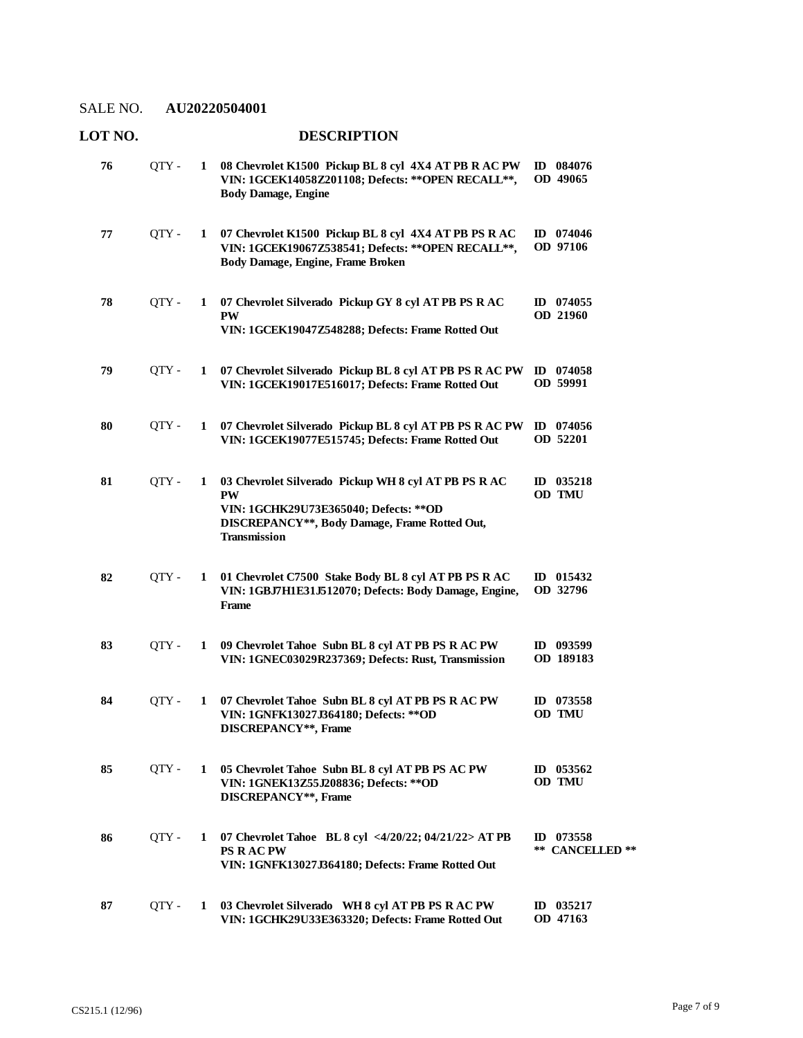| LOT NO. |       |   | <b>DESCRIPTION</b>                                                                                                                                                                  |                                |
|---------|-------|---|-------------------------------------------------------------------------------------------------------------------------------------------------------------------------------------|--------------------------------|
| 76      | QTY - | 1 | 08 Chevrolet K1500 Pickup BL 8 cyl 4X4 AT PB R AC PW<br>VIN: 1GCEK14058Z201108; Defects: ** OPEN RECALL **,<br><b>Body Damage, Engine</b>                                           | ID 084076<br>OD 49065          |
| 77      | QTY - | 1 | 07 Chevrolet K1500 Pickup BL 8 cyl 4X4 AT PB PS R AC<br>VIN: 1GCEK19067Z538541; Defects: ** OPEN RECALL **,<br>Body Damage, Engine, Frame Broken                                    | ID 074046<br>OD 97106          |
| 78      | QTY - | 1 | 07 Chevrolet Silverado Pickup GY 8 cyl AT PB PS R AC<br><b>PW</b><br>VIN: 1GCEK19047Z548288; Defects: Frame Rotted Out                                                              | ID $074055$<br><b>OD 21960</b> |
| 79      | QTY - | 1 | 07 Chevrolet Silverado Pickup BL 8 cyl AT PB PS R AC PW<br>VIN: 1GCEK19017E516017; Defects: Frame Rotted Out                                                                        | ID $074058$<br>OD 59991        |
| 80      | QTY - | 1 | 07 Chevrolet Silverado Pickup BL 8 cyl AT PB PS R AC PW<br>VIN: 1GCEK19077E515745; Defects: Frame Rotted Out                                                                        | ID 074056<br>OD 52201          |
| 81      | QTY - | 1 | 03 Chevrolet Silverado Pickup WH 8 cyl AT PB PS R AC<br><b>PW</b><br>VIN: 1GCHK29U73E365040; Defects: ** OD<br>DISCREPANCY**, Body Damage, Frame Rotted Out,<br><b>Transmission</b> | ID 035218<br>OD TMU            |
| 82      | QTY - | 1 | 01 Chevrolet C7500 Stake Body BL 8 cyl AT PB PS R AC<br>VIN: 1GBJ7H1E31J512070; Defects: Body Damage, Engine,<br>Frame                                                              | ID 015432<br>OD 32796          |
| 83      | QTY - | 1 | 09 Chevrolet Tahoe Subn BL 8 cyl AT PB PS R AC PW<br>VIN: 1GNEC03029R237369; Defects: Rust, Transmission                                                                            | ID 093599<br>OD 189183         |
| 84      | QTY - |   | 1 07 Chevrolet Tahoe Subn BL 8 cyl AT PB PS R AC PW<br>VIN: 1GNFK13027J364180; Defects: **OD<br>DISCREPANCY**, Frame                                                                | ID $073558$<br>OD TMU          |
| 85      | OTY - |   | 1 05 Chevrolet Tahoe Subn BL 8 cyl AT PB PS AC PW<br>VIN: 1GNEK13Z55J208836; Defects: ** OD<br>DISCREPANCY**, Frame                                                                 | ID 053562<br>OD TMU            |
| 86      | QTY - |   | 1 07 Chevrolet Tahoe BL 8 cyl <4/20/22; 04/21/22> AT PB<br><b>PS RACPW</b><br>VIN: 1GNFK13027J364180; Defects: Frame Rotted Out                                                     | ID $073558$<br>** CANCELLED ** |
| 87      | QTY - | 1 | 03 Chevrolet Silverado WH 8 cyl AT PB PS R AC PW<br>VIN: 1GCHK29U33E363320; Defects: Frame Rotted Out                                                                               | ID 035217<br>OD 47163          |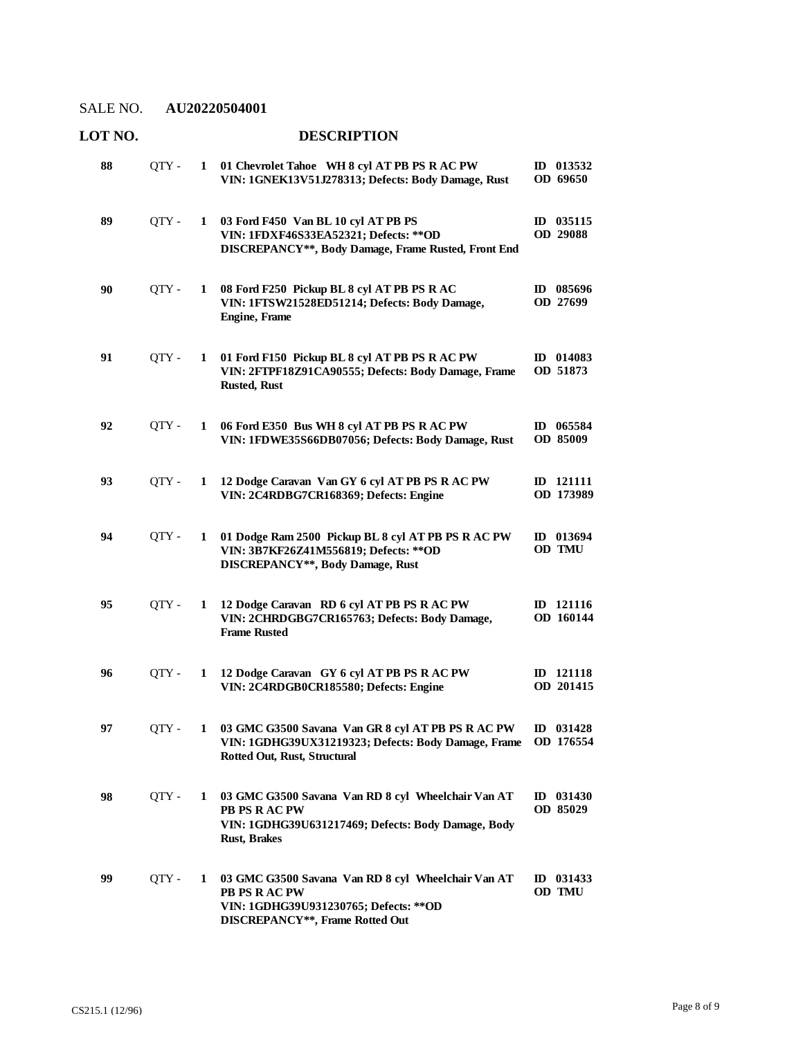#### **LOT NO. DESCRIPTION 01 Chevrolet Tahoe WH 8 cyl AT PB PS R AC PW**  QTY - **1 ID 013532 VIN: 1GNEK13V51J278313; Defects: Body Damage, Rust OD 69650 88 03 Ford F450 Van BL 10 cyl AT PB PS**  QTY - **1 ID 035115 VIN: 1FDXF46S33EA52321; Defects: \*\*OD DISCREPANCY\*\*, Body Damage, Frame Rusted, Front End OD 29088 89 08 Ford F250 Pickup BL 8 cyl AT PB PS R AC**  QTY - **1 ID 085696 VIN: 1FTSW21528ED51214; Defects: Body Damage, Engine, Frame OD 27699 90 01 Ford F150 Pickup BL 8 cyl AT PB PS R AC PW**  QTY - **1 ID 014083 VIN: 2FTPF18Z91CA90555; Defects: Body Damage, Frame Rusted, Rust OD 51873 91 06 Ford E350 Bus WH 8 cyl AT PB PS R AC PW**  QTY - **1 ID 065584 VIN: 1FDWE35S66DB07056; Defects: Body Damage, Rust OD 85009 92 12 Dodge Caravan Van GY 6 cyl AT PB PS R AC PW**  QTY - **1 ID 121111 VIN: 2C4RDBG7CR168369; Defects: Engine OD 173989 93 01 Dodge Ram 2500 Pickup BL 8 cyl AT PB PS R AC PW**  QTY - **1 ID 013694 VIN: 3B7KF26Z41M556819; Defects: \*\*OD DISCREPANCY\*\*, Body Damage, Rust OD TMU 94 12 Dodge Caravan RD 6 cyl AT PB PS R AC PW**  QTY - **1 ID 121116 VIN: 2CHRDGBG7CR165763; Defects: Body Damage, Frame Rusted OD 160144 95 12 Dodge Caravan GY 6 cyl AT PB PS R AC PW**  QTY - **1 ID 121118 VIN: 2C4RDGB0CR185580; Defects: Engine OD 201415 96 03 GMC G3500 Savana Van GR 8 cyl AT PB PS R AC PW**  QTY - **1 ID 031428 VIN: 1GDHG39UX31219323; Defects: Body Damage, Frame Rotted Out, Rust, Structural OD 176554 97 03 GMC G3500 Savana Van RD 8 cyl Wheelchair Van AT**  QTY - **1 ID 031430 PB PS R AC PW VIN: 1GDHG39U631217469; Defects: Body Damage, Body Rust, Brakes OD 85029 98 03 GMC G3500 Savana Van RD 8 cyl Wheelchair Van AT**  QTY - **1 ID 031433 PB PS R AC PW VIN: 1GDHG39U931230765; Defects: \*\*OD DISCREPANCY\*\*, Frame Rotted Out OD TMU 99**